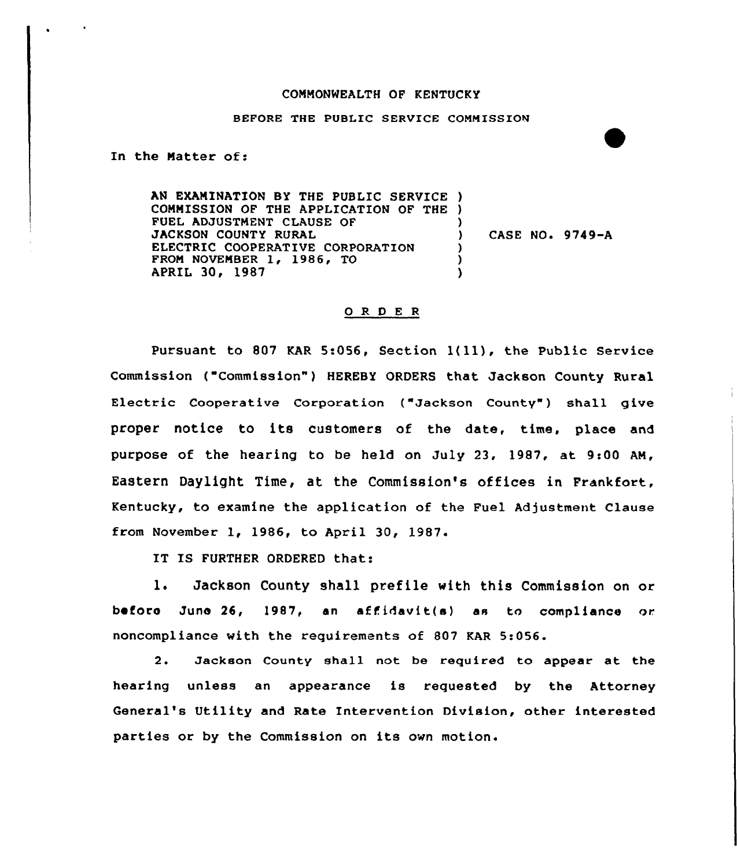## COMMONWEALTH OF KENTUCKY

## BEFORE THE PUBLIC SERVICE COMMISSION

In the Hatter of<

AN EXAMINATION BY THE PUBLIC SERVICE ) COMMISSION OF THE APPLICATION OF THE ) FUEL ADJUSTMENT CLAUSE OF JACKSON COUNTY RURAL ELECTRIC COOPERATIVE CORPORATION FROM NOVEMBER 1, 1986, TO APRIL 30, 1987  $)$ CASE NO. 9749-A ) )  $\lambda$ 

## ORDER

Pursuant to <sup>807</sup> KAR 5:056, Section 1(ll), the Public Service Commission ("Commission") HEREBY ORDERS that Jackson County Rural Electric Cooperative Corporation ("Jackson County") shall give proper notice to its customers of the date, time, place and purpose of the hearing to be held on July 23, 1987, at 9:00 AM, Eastern Daylight Time, at the Commission's offices in Frankfort, Kentucky, to examine the application of the Fuel Adjustment Clause from November 1, 1986, to April 30, 1987.

IT IS FURTHER ORDERED that:

l. Jackson County shall prefile with this Commission on or before June 26, 1987, an affidavit(s) as to compliance or noncompliance with the requirements of 807 KAR 5:056.

2. Jackson County shall not be required to appear at the hearing unless an appearance is requested by the Attorney General's Utility and Rate Intervention Division, other interested parties or by the Commission on its own motion.